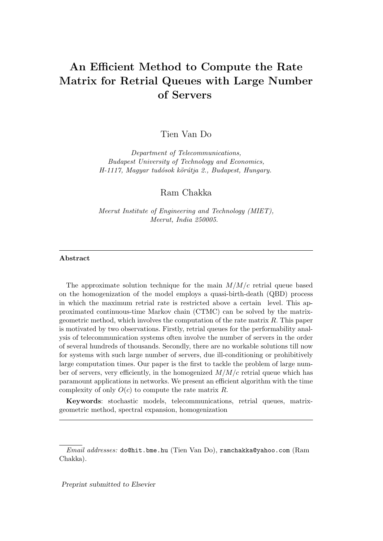# An Efficient Method to Compute the Rate Matrix for Retrial Queues with Large Number of Servers

Tien Van Do

Department of Telecommunications, Budapest University of Technology and Economics, H-1117, Magyar tudósok körútja 2., Budapest, Hungary.

Ram Chakka

Meerut Institute of Engineering and Technology (MIET), Meerut, India 250005.

#### Abstract

The approximate solution technique for the main  $M/M/c$  retrial queue based on the homogenization of the model employs a quasi-birth-death (QBD) process in which the maximum retrial rate is restricted above a certain level. This approximated continuous-time Markov chain (CTMC) can be solved by the matrixgeometric method, which involves the computation of the rate matrix R. This paper is motivated by two observations. Firstly, retrial queues for the performability analysis of telecommunication systems often involve the number of servers in the order of several hundreds of thousands. Secondly, there are no workable solutions till now for systems with such large number of servers, due ill-conditioning or prohibitively large computation times. Our paper is the first to tackle the problem of large number of servers, very efficiently, in the homogenized  $M/M/c$  retrial queue which has paramount applications in networks. We present an efficient algorithm with the time complexity of only  $O(c)$  to compute the rate matrix R.

Keywords: stochastic models, telecommunications, retrial queues, matrixgeometric method, spectral expansion, homogenization

Email addresses: do@hit.bme.hu (Tien Van Do), ramchakka@yahoo.com (Ram Chakka).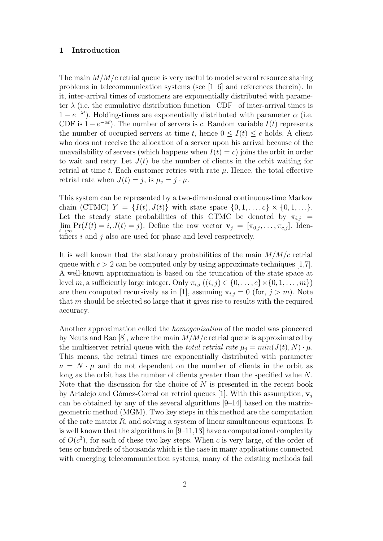#### 1 Introduction

The main  $M/M/c$  retrial queue is very useful to model several resource sharing problems in telecommunication systems (see [1–6] and references therein). In it, inter-arrival times of customers are exponentially distributed with parameter  $\lambda$  (i.e. the cumulative distribution function –CDF– of inter-arrival times is  $1 - e^{-\lambda t}$ ). Holding-times are exponentially distributed with parameter  $\alpha$  (i.e. CDF is  $1-e^{-\alpha t}$ ). The number of servers is c. Random variable  $I(t)$  represents the number of occupied servers at time t, hence  $0 \leq I(t) \leq c$  holds. A client who does not receive the allocation of a server upon his arrival because of the unavailability of servers (which happens when  $I(t) = c$ ) joins the orbit in order to wait and retry. Let  $J(t)$  be the number of clients in the orbit waiting for retrial at time t. Each customer retries with rate  $\mu$ . Hence, the total effective retrial rate when  $J(t) = j$ , is  $\mu_i = j \cdot \mu$ .

This system can be represented by a two-dimensional continuous-time Markov chain (CTMC)  $Y = \{I(t), J(t)\}\$  with state space  $\{0, 1, ..., c\} \times \{0, 1, ...\}$ . Let the steady state probabilities of this CTMC be denoted by  $\pi_{i,j}$  =  $\lim_{t\to\infty} \Pr(I(t) = i, J(t) = j)$ . Define the row vector  $\mathbf{v}_j = [\pi_{0,j}, \dots, \pi_{c,j}]$ . Identifiers i and j also are used for phase and level respectively.

It is well known that the stationary probabilities of the main  $M/M/c$  retrial queue with  $c > 2$  can be computed only by using approximate techniques [1,7]. A well-known approximation is based on the truncation of the state space at level m, a sufficiently large integer. Only  $\pi_{i,j}$   $((i,j) \in \{0,\ldots,c\} \times \{0,1,\ldots,m\})$ are then computed recursively as in [1], assuming  $\pi_{i,j} = 0$  (for,  $j > m$ ). Note that m should be selected so large that it gives rise to results with the required accuracy.

Another approximation called the homogenization of the model was pioneered by Neuts and Rao [8], where the main  $M/M/c$  retrial queue is approximated by the multiserver retrial queue with the *total retrial rate*  $\mu_i = min(J(t), N) \cdot \mu$ . This means, the retrial times are exponentially distributed with parameter  $\nu = N \cdot \mu$  and do not dependent on the number of clients in the orbit as long as the orbit has the number of clients greater than the specified value N. Note that the discussion for the choice of  $N$  is presented in the recent book by Artalejo and Gómez-Corral on retrial queues [1]. With this assumption,  $v_i$ can be obtained by any of the several algorithms [9–14] based on the matrixgeometric method (MGM). Two key steps in this method are the computation of the rate matrix  $R$ , and solving a system of linear simultaneous equations. It is well known that the algorithms in [9–11,13] have a computational complexity of  $O(c<sup>3</sup>)$ , for each of these two key steps. When c is very large, of the order of tens or hundreds of thousands which is the case in many applications connected with emerging telecommunication systems, many of the existing methods fail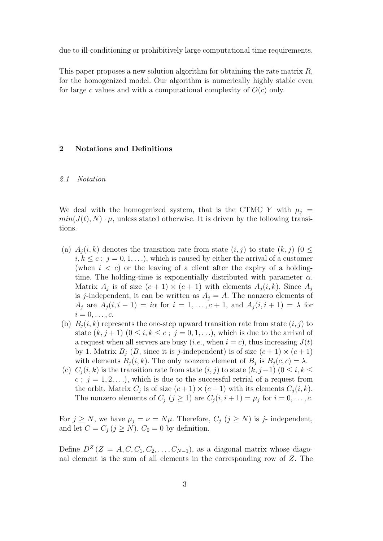due to ill-conditioning or prohibitively large computational time requirements.

This paper proposes a new solution algorithm for obtaining the rate matrix R, for the homogenized model. Our algorithm is numerically highly stable even for large c values and with a computational complexity of  $O(c)$  only.

## 2 Notations and Definitions

#### 2.1 Notation

We deal with the homogenized system, that is the CTMC Y with  $\mu_i$  =  $min(J(t), N) \cdot \mu$ , unless stated otherwise. It is driven by the following transitions.

- (a)  $A_i(i, k)$  denotes the transition rate from state  $(i, j)$  to state  $(k, j)$  ( $0 \leq$  $i, k \leq c$ ;  $j = 0, 1, \ldots$ , which is caused by either the arrival of a customer (when  $i < c$ ) or the leaving of a client after the expiry of a holdingtime. The holding-time is exponentially distributed with parameter  $\alpha$ . Matrix  $A_j$  is of size  $(c+1) \times (c+1)$  with elements  $A_j(i,k)$ . Since  $A_j$ is j-independent, it can be written as  $A_i = A$ . The nonzero elements of  $A_i$  are  $A_i(i, i-1) = i\alpha$  for  $i = 1, \ldots, c+1$ , and  $A_i(i, i+1) = \lambda$  for  $i=0,\ldots,c.$
- (b)  $B_i(i, k)$  represents the one-step upward transition rate from state  $(i, j)$  to state  $(k, j+1)$   $(0 \leq i, k \leq c; j = 0, 1, \ldots)$ , which is due to the arrival of a request when all servers are busy (*i.e.*, when  $i = c$ ), thus increasing  $J(t)$ by 1. Matrix  $B_j$  (B, since it is j-independent) is of size  $(c+1) \times (c+1)$ with elements  $B_j(i,k)$ . The only nonzero element of  $B_j$  is  $B_j(c,c) = \lambda$ .
- (c)  $C_i(i, k)$  is the transition rate from state  $(i, j)$  to state  $(k, j-1)$   $(0 \le i, k \le j)$  $c$ ;  $j = 1, 2, \ldots$ , which is due to the successful retrial of a request from the orbit. Matrix  $C_j$  is of size  $(c+1) \times (c+1)$  with its elements  $C_j(i,k)$ . The nonzero elements of  $C_j$   $(j \geq 1)$  are  $C_j(i, i + 1) = \mu_j$  for  $i = 0, \ldots, c$ .

For  $j \geq N$ , we have  $\mu_j = \nu = N\mu$ . Therefore,  $C_j$   $(j \geq N)$  is j- independent, and let  $C = C_j$   $(j \geq N)$ .  $C_0 = 0$  by definition.

Define  $D^Z$   $(Z = A, C, C_1, C_2, \ldots, C_{N-1})$ , as a diagonal matrix whose diagonal element is the sum of all elements in the corresponding row of Z. The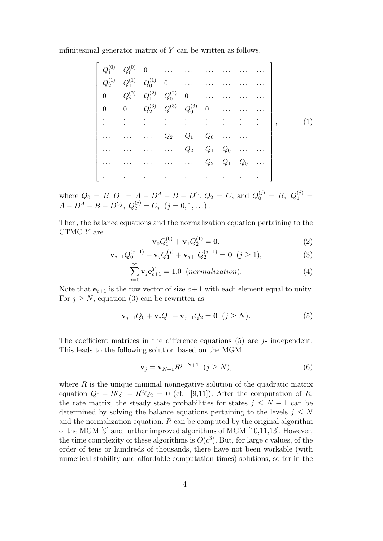infinitesimal generator matrix of  $Y$  can be written as follows,

$$
\begin{bmatrix}\nQ_1^{(0)} & Q_0^{(0)} & 0 & \dots & \dots & \dots & \dots & \dots \\
Q_2^{(1)} & Q_1^{(1)} & Q_0^{(1)} & 0 & \dots & \dots & \dots & \dots \\
0 & Q_2^{(2)} & Q_1^{(2)} & Q_0^{(2)} & 0 & \dots & \dots & \dots \\
0 & 0 & Q_2^{(3)} & Q_1^{(3)} & Q_0^{(3)} & 0 & \dots & \dots & \dots \\
\vdots & \vdots & \vdots & \vdots & \vdots & \vdots & \vdots & \vdots & \vdots \\
\dots & \dots & \dots & \dots & Q_2 & Q_1 & Q_0 & \dots & \dots \\
\dots & \dots & \dots & \dots & Q_2 & Q_1 & Q_0 & \dots & \dots \\
\vdots & \vdots & \vdots & \vdots & \vdots & \vdots & \vdots & \vdots & \vdots\n\end{bmatrix},
$$
\n(1)

where  $Q_0 = B, Q_1 = A - D^A - B - D^C, Q_2 = C, \text{ and } Q_0^{(j)} = B, Q_1^{(j)} = C$  $A - D^A - B - D^{C_j}, Q_2^{(j)} = C_j \ (j = 0, 1, \ldots)$ .

Then, the balance equations and the normalization equation pertaining to the CTMC Y are

$$
\mathbf{v}_0 Q_1^{(0)} + \mathbf{v}_1 Q_2^{(1)} = \mathbf{0},\tag{2}
$$

$$
\mathbf{v}_{j-1}Q_0^{(j-1)} + \mathbf{v}_jQ_1^{(j)} + \mathbf{v}_{j+1}Q_2^{(j+1)} = \mathbf{0} \ (j \ge 1), \tag{3}
$$

$$
\sum_{j=0}^{\infty} \mathbf{v}_j \mathbf{e}_{c+1}^T = 1.0 \quad (normalization).
$$
 (4)

Note that  $e_{c+1}$  is the row vector of size  $c+1$  with each element equal to unity. For  $j \geq N$ , equation (3) can be rewritten as

$$
\mathbf{v}_{j-1}Q_0 + \mathbf{v}_j Q_1 + \mathbf{v}_{j+1}Q_2 = \mathbf{0} \ (j \ge N). \tag{5}
$$

The coefficient matrices in the difference equations  $(5)$  are  $j$ - independent. This leads to the following solution based on the MGM.

$$
\mathbf{v}_j = \mathbf{v}_{N-1} R^{j-N+1} \quad (j \ge N), \tag{6}
$$

where  $R$  is the unique minimal nonnegative solution of the quadratic matrix equation  $Q_0 + RQ_1 + R^2Q_2 = 0$  (cf. [9,11]). After the computation of R, the rate matrix, the steady state probabilities for states  $j \leq N-1$  can be determined by solving the balance equations pertaining to the levels  $j \leq N$ and the normalization equation.  $R$  can be computed by the original algorithm of the MGM [9] and further improved algorithms of MGM [10,11,13]. However, the time complexity of these algorithms is  $O(c^3)$ . But, for large c values, of the order of tens or hundreds of thousands, there have not been workable (with numerical stability and affordable computation times) solutions, so far in the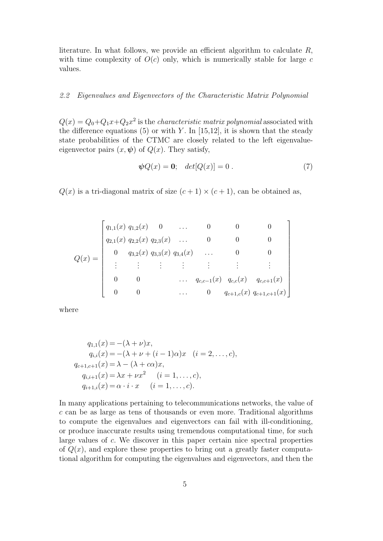literature. In what follows, we provide an efficient algorithm to calculate  $R$ , with time complexity of  $O(c)$  only, which is numerically stable for large c values.

### 2.2 Eigenvalues and Eigenvectors of the Characteristic Matrix Polynomial

 $Q(x) = Q_0 + Q_1 x + Q_2 x^2$  is the *characteristic matrix polynomial* associated with the difference equations (5) or with Y. In  $[15,12]$ , it is shown that the steady state probabilities of the CTMC are closely related to the left eigenvalueeigenvector pairs  $(x, \psi)$  of  $Q(x)$ . They satisfy,

$$
\psi Q(x) = 0; \quad det[Q(x)] = 0. \tag{7}
$$

 $Q(x)$  is a tri-diagonal matrix of size  $(c+1) \times (c+1)$ , can be obtained as,

$$
Q(x) = \begin{bmatrix} q_{1,1}(x) & q_{1,2}(x) & 0 & \dots & 0 & 0 & 0 \\ q_{2,1}(x) & q_{2,2}(x) & q_{2,3}(x) & \dots & 0 & 0 & 0 \\ 0 & q_{3,2}(x) & q_{3,3}(x) & q_{3,4}(x) & \dots & 0 & 0 \\ \vdots & \vdots & \vdots & \vdots & \vdots & \vdots & \vdots \\ 0 & 0 & \dots & q_{c,c-1}(x) & q_{c,c}(x) & q_{c,c+1}(x) \\ 0 & 0 & \dots & 0 & q_{c+1,c}(x) & q_{c+1,c+1}(x) \end{bmatrix}
$$

where

$$
q_{1,1}(x) = -(\lambda + \nu)x,
$$
  
\n
$$
q_{i,i}(x) = -(\lambda + \nu + (i - 1)\alpha)x \quad (i = 2, ..., c),
$$
  
\n
$$
q_{c+1,c+1}(x) = \lambda - (\lambda + c\alpha)x,
$$
  
\n
$$
q_{i,i+1}(x) = \lambda x + \nu x^2 \quad (i = 1, ..., c),
$$
  
\n
$$
q_{i+1,i}(x) = \alpha \cdot i \cdot x \quad (i = 1, ..., c).
$$

In many applications pertaining to telecommunications networks, the value of c can be as large as tens of thousands or even more. Traditional algorithms to compute the eigenvalues and eigenvectors can fail with ill-conditioning, or produce inaccurate results using tremendous computational time, for such large values of c. We discover in this paper certain nice spectral properties of  $Q(x)$ , and explore these properties to bring out a greatly faster computational algorithm for computing the eigenvalues and eigenvectors, and then the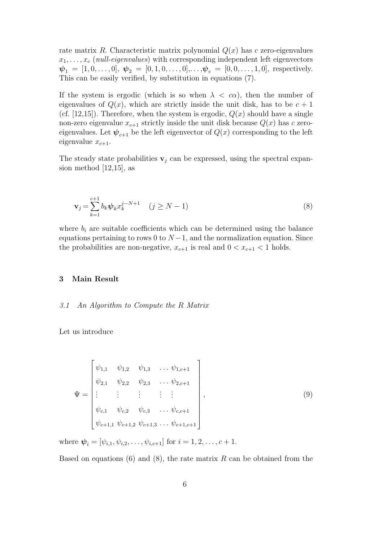rate matrix R. Characteristic matrix polynomial  $Q(x)$  has c zero-eigenvalues  $x_1, \ldots, x_c$  (*null-eigenvalues*) with corresponding independent left eigenvectors  $\mathbf{\psi}_1 = [1, 0, \dots, 0], \mathbf{\psi}_2 = [0, 1, 0, \dots, 0], \dots, \mathbf{\psi}_c = [0, 0, \dots, 1, 0],$  respectively. This can be easily verified, by substitution in equations (7).

If the system is ergodic (which is so when  $\lambda < c\alpha$ ), then the number of eigenvalues of  $Q(x)$ , which are strictly inside the unit disk, has to be  $c+1$ (cf. [12,15]). Therefore, when the system is ergodic,  $Q(x)$  should have a single non-zero eigenvalue  $x_{c+1}$  strictly inside the unit disk because  $Q(x)$  has c zeroeigenvalues. Let  $\psi_{c+1}$  be the left eigenvector of  $Q(x)$  corresponding to the left eigenvalue  $x_{c+1}$ .

The steady state probabilities  $v_i$  can be expressed, using the spectral expansion method [12,15], as

$$
\mathbf{v}_{j} = \sum_{k=1}^{c+1} b_{k} \psi_{k} x_{k}^{j-N+1} \quad (j \ge N-1)
$$
 (8)

where  $b_i$  are suitable coefficients which can be determined using the balance equations pertaining to rows 0 to  $N-1$ , and the normalization equation. Since the probabilities are non-negative,  $x_{c+1}$  is real and  $0 < x_{c+1} < 1$  holds.

### 3 Main Result

#### 3.1 An Algorithm to Compute the R Matrix

Let us introduce

$$
\Psi = \begin{bmatrix} \psi_{1,1} & \psi_{1,2} & \psi_{1,3} & \dots & \psi_{1,c+1} \\ \psi_{2,1} & \psi_{2,2} & \psi_{2,3} & \dots & \psi_{2,c+1} \\ \vdots & \vdots & \vdots & \vdots & \vdots \\ \psi_{c,1} & \psi_{c,2} & \psi_{c,3} & \dots & \psi_{c,c+1} \\ \psi_{c+1,1} & \psi_{c+1,2} & \psi_{c+1,3} & \dots & \psi_{c+1,c+1} \end{bmatrix},
$$
\n(9)

where  $\psi_i = [\psi_{i,1}, \psi_{i,2}, \dots, \psi_{i,c+1}]$  for  $i = 1, 2, \dots, c+1$ .

Based on equations (6) and (8), the rate matrix  $R$  can be obtained from the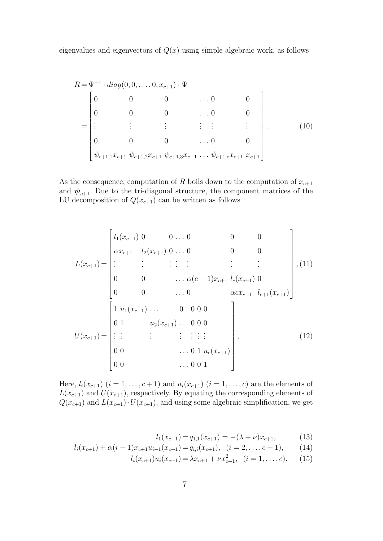eigenvalues and eigenvectors of  $Q(x)$  using simple algebraic work, as follows

$$
R = \Psi^{-1} \cdot diag(0, 0, \dots, 0, x_{c+1}) \cdot \Psi
$$
  
\n
$$
= \begin{bmatrix}\n0 & 0 & 0 & \dots & 0 & 0 \\
0 & 0 & 0 & \dots & 0 & 0 \\
\vdots & \vdots & \vdots & \vdots & \vdots & \vdots \\
0 & 0 & 0 & \dots & 0 & 0 \\
\psi_{c+1,1}x_{c+1} & \psi_{c+1,2}x_{c+1} & \psi_{c+1,3}x_{c+1} & \dots & \psi_{c+1,c}x_{c+1} & x_{c+1}\n\end{bmatrix}
$$
\n(10)

As the consequence, computation of  $R$  boils down to the computation of  $x_{c+1}$ and  $\psi_{c+1}$ . Due to the tri-diagonal structure, the component matrices of the LU decomposition of  $Q(x_{c+1})$  can be written as follows

$$
L(x_{c+1}) = \begin{bmatrix} l_1(x_{c+1}) & 0 & 0 & \dots & 0 & 0 & 0 \\ \alpha x_{c+1} & l_2(x_{c+1}) & 0 & \dots & 0 & 0 & 0 \\ \vdots & \vdots & \vdots & \vdots & \vdots & \vdots & \vdots \\ 0 & 0 & \dots & \alpha(c-1)x_{c+1} & l_c(x_{c+1}) & 0 \\ 0 & 0 & \dots & 0 & \alpha cx_{c+1} & l_{c+1}(x_{c+1}) \end{bmatrix}, (11)
$$

$$
U(x_{c+1}) = \begin{bmatrix} 1 & u_1(x_{c+1}) & \dots & 0 & 0 & 0 \\ 0 & 1 & u_2(x_{c+1}) & \dots & 0 & 0 & 0 \\ \vdots & \vdots & \vdots & \vdots & \vdots & \vdots \\ 0 & 0 & \dots & 0 & 1 & u_c(x_{c+1}) \\ 0 & 0 & \dots & 0 & 0 & 1 \end{bmatrix}, (12)
$$

Here,  $l_i(x_{c+1})$   $(i = 1, ..., c+1)$  and  $u_i(x_{c+1})$   $(i = 1, ..., c)$  are the elements of  $L(x_{c+1})$  and  $U(x_{c+1})$ , respectively. By equating the corresponding elements of  $Q(x_{c+1})$  and  $L(x_{c+1})\cdot U(x_{c+1})$ , and using some algebraic simplification, we get

$$
l_1(x_{c+1}) = q_{1,1}(x_{c+1}) = -(\lambda + \nu)x_{c+1},
$$
\n(13)

$$
l_i(x_{c+1}) + \alpha(i-1)x_{c+1}u_{i-1}(x_{c+1}) = q_{i,i}(x_{c+1}), \quad (i = 2, \dots, c+1), \tag{14}
$$

$$
l_i(x_{c+1})u_i(x_{c+1}) = \lambda x_{c+1} + \nu x_{c+1}^2, \quad (i = 1, \dots, c). \tag{15}
$$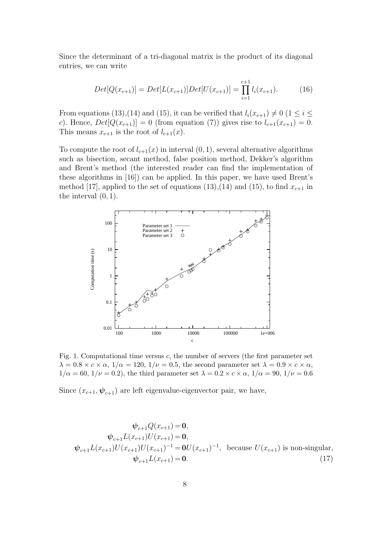Since the determinant of a tri-diagonal matrix is the product of its diagonal entries, we can write

$$
Det[Q(x_{c+1})] = Det[L(x_{c+1})]Det[U(x_{c+1})] = \prod_{i=1}^{c+1} l_i(x_{c+1}).
$$
 (16)

From equations (13),(14) and (15), it can be verified that  $l_i(x_{c+1}) \neq 0$  (1  $\leq i \leq$ c). Hence,  $Det[Q(x_{c+1})] = 0$  (from equation (7)) gives rise to  $l_{c+1}(x_{c+1}) = 0$ . This means  $x_{c+1}$  is the root of  $l_{c+1}(x)$ .

To compute the root of  $l_{c+1}(x)$  in interval  $(0, 1)$ , several alternative algorithms such as bisection, secant method, false position method, Dekker's algorithm and Brent's method (the interested reader can find the implementation of these algorithms in [16]) can be applied. In this paper, we have used Brent's method [17], applied to the set of equations (13),(14) and (15), to find  $x_{c+1}$  in the interval  $(0, 1)$ .



Fig. 1. Computational time versus  $c$ , the number of servers (the first parameter set  $\lambda = 0.8 \times c \times \alpha$ ,  $1/\alpha = 120$ ,  $1/\nu = 0.5$ , the second parameter set  $\lambda = 0.9 \times c \times \alpha$ ,  $1/\alpha = 60$ ,  $1/\nu = 0.2$ ), the third parameter set  $\lambda = 0.2 \times c \times \alpha$ ,  $1/\alpha = 90$ ,  $1/\nu = 0.6$ 

Since  $(x_{c+1}, \psi_{c+1})$  are left eigenvalue-eigenvector pair, we have,

$$
\psi_{c+1}Q(x_{c+1}) = \mathbf{0},
$$
\n
$$
\psi_{c+1}L(x_{c+1})U(x_{c+1}) = \mathbf{0},
$$
\n
$$
\psi_{c+1}L(x_{c+1})U(x_{c+1})^{-1} = \mathbf{0}U(x_{c+1})^{-1}, \text{ because } U(x_{c+1}) \text{ is non-singular},
$$
\n
$$
\psi_{c+1}L(x_{c+1}) = \mathbf{0}.
$$
\n(17)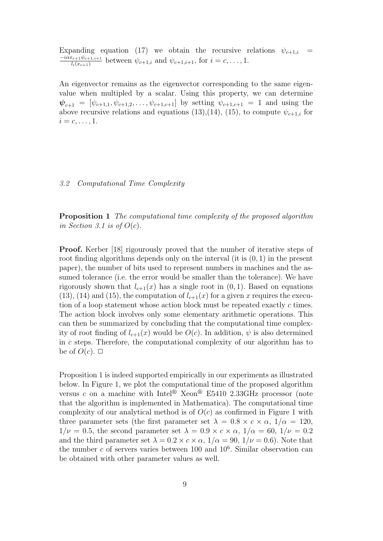Expanding equation (17) we obtain the recursive relations  $\psi_{c+1,i}$  =  $-i\alpha x_{c+1}\psi_{c+1,i+1}$  $\frac{d_{c+1}\psi_{c+1,i+1}}{d_i(x_{c+1})}$  between  $\psi_{c+1,i}$  and  $\psi_{c+1,i+1}$ , for  $i = c, \ldots, 1$ .

An eigenvector remains as the eigenvector corresponding to the same eigenvalue when multipled by a scalar. Using this property, we can determine  $\mathbf{\psi}_{c+1} = [\psi_{c+1,1}, \psi_{c+1,2}, \dots, \psi_{c+1,c+1}]$  by setting  $\psi_{c+1,c+1} = 1$  and using the above recursive relations and equations (13),(14), (15), to compute  $\psi_{c+1,i}$  for  $i = c, \ldots, 1.$ 

#### 3.2 Computational Time Complexity

Proposition 1 The computational time complexity of the proposed algorithm in Section 3.1 is of  $O(c)$ .

Proof. Kerber [18] rigourously proved that the number of iterative steps of root finding algorithms depends only on the interval (it is  $(0, 1)$ ) in the present paper), the number of bits used to represent numbers in machines and the assumed tolerance (i.e. the error would be smaller than the tolerance). We have rigorously shown that  $l_{c+1}(x)$  has a single root in  $(0, 1)$ . Based on equations  $(13)$ ,  $(14)$  and  $(15)$ , the computation of  $l_{c+1}(x)$  for a given x requires the execution of a loop statement whose action block must be repeated exactly c times. The action block involves only some elementary arithmetic operations. This can then be summarized by concluding that the computational time complexity of root finding of  $l_{c+1}(x)$  would be  $O(c)$ . In addition,  $\psi$  is also determined in c steps. Therefore, the computational complexity of our algorithm has to be of  $O(c)$ .  $\Box$ 

Proposition 1 is indeed supported empirically in our experiments as illustrated below. In Figure 1, we plot the computational time of the proposed algorithm versus c on a machine with Intel<sup>®</sup> Xeon<sup>®</sup> E5410 2.33GHz processor (note that the algorithm is implemented in Mathematica). The computational time complexity of our analytical method is of  $O(c)$  as confirmed in Figure 1 with three parameter sets (the first parameter set  $\lambda = 0.8 \times c \times \alpha$ ,  $1/\alpha = 120$ ,  $1/\nu = 0.5$ , the second parameter set  $\lambda = 0.9 \times c \times \alpha$ ,  $1/\alpha = 60$ ,  $1/\nu = 0.2$ and the third parameter set  $\lambda = 0.2 \times c \times \alpha$ ,  $1/\alpha = 90$ ,  $1/\nu = 0.6$ ). Note that the number  $c$  of servers varies between 100 and  $10^6$ . Similar observation can be obtained with other parameter values as well.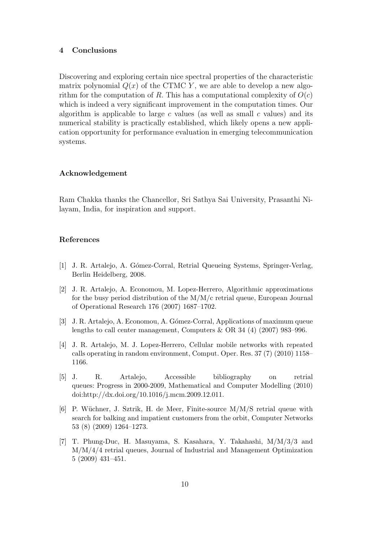### 4 Conclusions

Discovering and exploring certain nice spectral properties of the characteristic matrix polynomial  $Q(x)$  of the CTMC Y, we are able to develop a new algorithm for the computation of R. This has a computational complexity of  $O(c)$ which is indeed a very significant improvement in the computation times. Our algorithm is applicable to large  $c$  values (as well as small  $c$  values) and its numerical stability is practically established, which likely opens a new application opportunity for performance evaluation in emerging telecommunication systems.

## Acknowledgement

Ram Chakka thanks the Chancellor, Sri Sathya Sai University, Prasanthi Nilayam, India, for inspiration and support.

#### References

- [1] J. R. Artalejo, A. G´omez-Corral, Retrial Queueing Systems, Springer-Verlag, Berlin Heidelberg, 2008.
- [2] J. R. Artalejo, A. Economou, M. Lopez-Herrero, Algorithmic approximations for the busy period distribution of the M/M/c retrial queue, European Journal of Operational Research 176 (2007) 1687–1702.
- [3] J. R. Artalejo, A. Economou, A. Gómez-Corral, Applications of maximum queue lengths to call center management, Computers & OR 34 (4) (2007) 983–996.
- [4] J. R. Artalejo, M. J. Lopez-Herrero, Cellular mobile networks with repeated calls operating in random environment, Comput. Oper. Res. 37 (7) (2010) 1158– 1166.
- [5] J. R. Artalejo, Accessible bibliography on retrial queues: Progress in 2000-2009, Mathematical and Computer Modelling (2010) doi:http://dx.doi.org/10.1016/j.mcm.2009.12.011.
- [6] P. Wüchner, J. Sztrik, H. de Meer, Finite-source  $M/M/S$  retrial queue with search for balking and impatient customers from the orbit, Computer Networks 53 (8) (2009) 1264–1273.
- [7] T. Phung-Duc, H. Masuyama, S. Kasahara, Y. Takahashi, M/M/3/3 and M/M/4/4 retrial queues, Journal of Industrial and Management Optimization 5 (2009) 431–451.